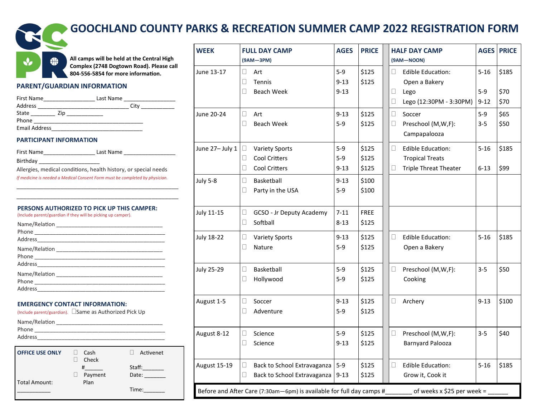

# **GOOCHLAND COUNTY PARKS & RECREATION SUMMER CAMP 2022 REGISTRATION FORM**

**All camps will be held at the Central High Complex (2748 Dogtown Road). Please call 804-556-5854 for more information.** 

# **PARENT/GUARDIAN INFORMATION**

| First Name           | Last Name |
|----------------------|-----------|
| Address              | City      |
| State<br>Zin         |           |
| Phone                |           |
| <b>Email Address</b> |           |

# **PARTICIPANT INFORMATION**

| First Name | Last Name |
|------------|-----------|
| Birthday   |           |

Allergies, medical conditions, health history, or special needs *If medicine is needed a Medical Consent Form must be completed by physician.* 

\_\_\_\_\_\_\_\_\_\_\_\_\_\_\_\_\_\_\_\_\_\_\_\_\_\_\_\_\_\_\_\_\_\_\_\_\_\_\_\_\_\_\_\_\_\_\_\_ \_\_\_\_\_\_\_\_\_\_\_\_\_\_\_\_\_\_\_\_\_\_\_\_\_\_\_\_\_\_\_\_\_\_\_\_\_\_\_\_\_\_\_\_\_\_\_\_

# **PERSONS AUTHORIZED TO PICK UP THIS CAMPER:**

(Include parent/guardian if they will be picking up camper).

| Address |
|---------|

# **EMERGENCY CONTACT INFORMATION:**

(Include parent/guardian). Same as Authorized Pick Up

| Name/Relation |  |
|---------------|--|
| Phone         |  |
| Address       |  |

| <b>OFFICE USE ONLY</b> | Cash<br>Check |                 | Activenet |
|------------------------|---------------|-----------------|-----------|
|                        | #<br>Payment  | Staff:<br>Date: |           |
| Total Amount:          | Plan          |                 |           |
|                        |               | Time:           |           |

| <b>WEEK</b>                                                                                        | <b>FULL DAY CAMP</b><br>(9AM-3PM)                                                              | <b>AGES</b>                   | <b>PRICE</b>            |  | <b>HALF DAY CAMP</b><br>(9AM-NOON) |                                                                                    |                               | <b>AGES PRICE</b>     |  |
|----------------------------------------------------------------------------------------------------|------------------------------------------------------------------------------------------------|-------------------------------|-------------------------|--|------------------------------------|------------------------------------------------------------------------------------|-------------------------------|-----------------------|--|
| June 13-17                                                                                         | $\Box$<br>Art<br>□<br>Tennis<br>$\Box$<br><b>Beach Week</b>                                    | $5-9$<br>$9 - 13$<br>$9 - 13$ | \$125<br>\$125          |  | $\Box$<br>$\Box$<br>□              | <b>Edible Education:</b><br>Open a Bakery<br>Lego<br>Lego (12:30PM - 3:30PM)       | $5 - 16$<br>$5-9$<br>$9 - 12$ | \$185<br>\$70<br>\$70 |  |
| June 20-24                                                                                         | $\Box$<br>Art<br><b>Beach Week</b><br>u                                                        | $9 - 13$<br>$5-9$             | \$125<br>\$125          |  | П<br>$\Box$                        | Soccer<br>Preschool (M,W,F):<br>Campapalooza                                       | $5-9$<br>$3 - 5$              | \$65<br>\$50          |  |
| June 27- July 1                                                                                    | $\Box$<br><b>Variety Sports</b><br>$\Box$<br><b>Cool Critters</b><br><b>Cool Critters</b><br>□ | $5-9$<br>$5-9$<br>$9 - 13$    | \$125<br>\$125<br>\$125 |  | $\Box$<br>Ц                        | <b>Edible Education:</b><br><b>Tropical Treats</b><br><b>Triple Threat Theater</b> | $5 - 16$<br>$6 - 13$          | \$185<br>\$99         |  |
| <b>July 5-8</b>                                                                                    | $\Box$<br>Basketball<br>□<br>Party in the USA                                                  | $9 - 13$<br>$5-9$             | \$100<br>\$100          |  |                                    |                                                                                    |                               |                       |  |
| <b>July 11-15</b>                                                                                  | $\Box$<br>GCSO - Jr Deputy Academy<br>Softball<br>$\Box$                                       | $7 - 11$<br>$8 - 13$          | <b>FREE</b><br>\$125    |  |                                    |                                                                                    |                               |                       |  |
| <b>July 18-22</b>                                                                                  | $\Box$<br><b>Variety Sports</b><br>□<br>Nature                                                 | $9 - 13$<br>$5-9$             | \$125<br>\$125          |  | $\Box$                             | <b>Edible Education:</b><br>Open a Bakery                                          | $5 - 16$                      | \$185                 |  |
| <b>July 25-29</b>                                                                                  | $\Box$<br>Basketball<br>Hollywood<br>О                                                         | $5-9$<br>$5-9$                | \$125<br>\$125          |  | $\Box$                             | Preschool (M,W,F):<br>Cooking                                                      | $3 - 5$                       | \$50                  |  |
| August 1-5                                                                                         | □<br>Soccer<br>$\Box$<br>Adventure                                                             | $9 - 13$<br>$5 - 9$           | \$125<br>\$125          |  | $\Box$                             | Archery                                                                            | $9 - 13$                      | \$100                 |  |
| August 8-12                                                                                        | Science<br>□<br>Science<br>□                                                                   | $5-9$<br>$9 - 13$             | \$125<br>\$125          |  | $\Box$                             | Preschool (M,W,F):<br><b>Barnyard Palooza</b>                                      | $3 - 5$                       | \$40                  |  |
| <b>August 15-19</b>                                                                                | $\Box$<br>Back to School Extravaganza<br>$\Box$<br>Back to School Extravaganza                 | $5-9$<br>$9 - 13$             | \$125<br>\$125          |  | $\Box$                             | <b>Edible Education:</b><br>Grow it, Cook it                                       | $5 - 16$                      | \$185                 |  |
| Before and After Care (7:30am-6pm) is available for full day camps #<br>of weeks x \$25 per week = |                                                                                                |                               |                         |  |                                    |                                                                                    |                               |                       |  |